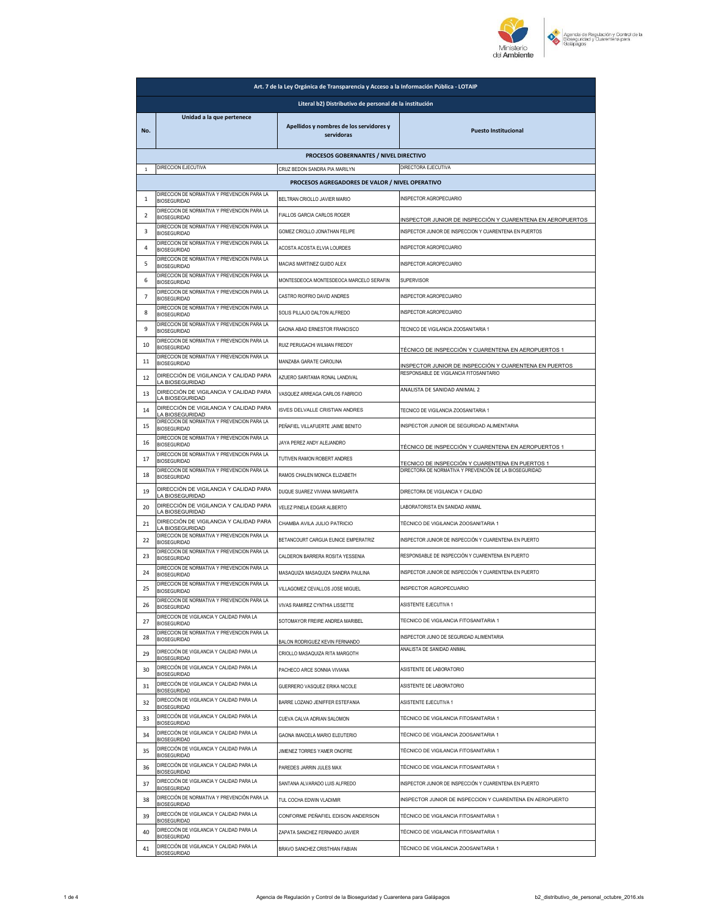

| Art. 7 de la Ley Orgánica de Transparencia y Acceso a la Información Pública - LOTAIP |                                                                    |                                                       |                                                            |
|---------------------------------------------------------------------------------------|--------------------------------------------------------------------|-------------------------------------------------------|------------------------------------------------------------|
| Literal b2) Distributivo de personal de la institución                                |                                                                    |                                                       |                                                            |
| No.                                                                                   | Unidad a la que pertenece                                          | Apellidos y nombres de los servidores y<br>servidoras | <b>Puesto Institucional</b>                                |
|                                                                                       |                                                                    | PROCESOS GOBERNANTES / NIVEL DIRECTIVO                |                                                            |
| $\mathbf{1}$                                                                          | DIRECCION EJECUTIVA                                                | CRUZ BEDON SANDRA PIA MARILYN                         | DIRECTORA EJECUTIVA                                        |
|                                                                                       | DIRECCION DE NORMATIVA Y PREVENCION PARA LA                        | PROCESOS AGREGADORES DE VALOR / NIVEL OPERATIVO       |                                                            |
| 1                                                                                     | <b>BIOSEGURIDAD</b><br>DIRECCION DE NORMATIVA Y PREVENCION PARA LA | BELTRAN CRIOLLO JAVIER MARIO                          | INSPECTOR AGROPECUARIO                                     |
| $\overline{2}$                                                                        | <b>BIOSEGURIDAD</b><br>DIRECCION DE NORMATIVA Y PREVENCION PARA LA | FIALLOS GARCIA CARLOS ROGER                           | INSPECTOR JUNIOR DE INSPECCIÓN Y CUARENTENA EN AEROPUERTOS |
| 3                                                                                     | <b>BIOSEGURIDAD</b><br>DIRECCION DE NORMATIVA Y PREVENCION PARA LA | GOMEZ CRIOLLO JONATHAN FELIPE                         | INSPECTOR JUNIOR DE INSPECCION Y CUARENTENA EN PUERTOS     |
| 4                                                                                     | <b>BIOSEGURIDAD</b>                                                | ACOSTA ACOSTA ELVIA LOURDES                           | INSPECTOR AGROPECUARIO                                     |
| 5                                                                                     | DIRECCION DE NORMATIVA Y PREVENCION PARA LA<br><b>BIOSEGURIDAD</b> | MACIAS MARTINEZ GUIDO ALEX                            | INSPECTOR AGROPECUARIO                                     |
| 6                                                                                     | DIRECCION DE NORMATIVA Y PREVENCION PARA LA<br><b>BIOSEGURIDAD</b> | MONTESDEOCA MONTESDEOCA MARCELO SERAFIN               | <b>SUPERVISOR</b>                                          |
| 7                                                                                     | DIRECCION DE NORMATIVA Y PREVENCION PARA LA<br><b>BIOSEGURIDAD</b> | CASTRO RIOFRIO DAVID ANDRES                           | INSPECTOR AGROPECUARIO                                     |
| 8                                                                                     | DIRECCION DE NORMATIVA Y PREVENCION PARA LA<br><b>BIOSEGURIDAD</b> | SOLIS PILLAJO DALTON ALFREDO                          | INSPECTOR AGROPECUARIO                                     |
| 9                                                                                     | DIRECCION DE NORMATIVA Y PREVENCION PARA LA<br><b>BIOSEGURIDAD</b> | GAONA ABAD ERNESTOR FRANCISCO                         | TECNICO DE VIGILANCIA ZOOSANITARIA 1                       |
| 10                                                                                    | DIRECCION DE NORMATIVA Y PREVENCION PARA LA<br><b>BIOSEGURIDAD</b> | RUIZ PERUGACHI WILMAN FREDDY                          | TÉCNICO DE INSPECCIÓN Y CUARENTENA EN AEROPUERTOS 1        |
| 11                                                                                    | DIRECCION DE NORMATIVA Y PREVENCION PARA LA<br><b>BIOSEGURIDAD</b> | MANZABA GARATE CAROLINA                               | INSPECTOR JUNIOR DE INSPECCIÓN Y CUARENTENA EN PUERTOS     |
| 12                                                                                    | DIRECCIÓN DE VIGILANCIA Y CALIDAD PARA<br>LA BIOSEGURIDAD          | AZUERO SARITAMA RONAL LANDIVAL                        | RESPONSABLE DE VIGILANCIA FITOSANITARIO                    |
| 13                                                                                    | DIRECCIÓN DE VIGILANCIA Y CALIDAD PARA<br>LA BIOSEGURIDAD          | VASQUEZ ARREAGA CARLOS FABRICIO                       | ANALISTA DE SANIDAD ANIMAL 2                               |
| 14                                                                                    | DIRECCIÓN DE VIGILANCIA Y CALIDAD PARA<br>LA BIOSEGURIDAD          | ISVES DELVALLE CRISTIAN ANDRES                        | TECNICO DE VIGILANCIA ZOOSANITARIA 1                       |
| 15                                                                                    | DIRECCION DE NORMATIVA Y PREVENCION PARA LA<br><b>BIOSEGURIDAD</b> | PEÑAFIEL VILLAFUERTE JAIME BENITO                     | INSPECTOR JUNIOR DE SEGURIDAD ALIMENTARIA                  |
| 16                                                                                    | DIRECCION DE NORMATIVA Y PREVENCION PARA LA<br><b>BIOSEGURIDAD</b> | JAYA PEREZ ANDY ALEJANDRO                             | TÉCNICO DE INSPECCIÓN Y CUARENTENA EN AEROPUERTOS 1        |
| 17                                                                                    | DIRECCION DE NORMATIVA Y PREVENCION PARA LA<br><b>BIOSEGURIDAD</b> | TUTIVEN RAMON ROBERT ANDRES                           | TECNICO DE INSPECCIÓN Y CUARENTENA EN PUERTOS 1            |
| 18                                                                                    | DIRECCION DE NORMATIVA Y PREVENCION PARA LA<br><b>BIOSEGURIDAD</b> | RAMOS CHALEN MONICA ELIZABETH                         | DIRECTORA DE NORMATIVA Y PREVENCIÓN DE LA BIOSEGURIDAD     |
| 19                                                                                    | DIRECCIÓN DE VIGILANCIA Y CALIDAD PARA<br>LA BIOSEGURIDAD          | DUQUE SUAREZ VIVIANA MARGARITA                        | DIRECTORA DE VIGILANCIA Y CALIDAD                          |
| 20                                                                                    | DIRECCIÓN DE VIGILANCIA Y CALIDAD PARA<br>LA BIOSEGURIDAD          | VELEZ PINELA EDGAR ALBERTO                            | LABORATORISTA EN SANIDAD ANIMAL                            |
| 21                                                                                    | DIRECCIÓN DE VIGILANCIA Y CALIDAD PARA<br>LA BIOSEGURIDAD          | CHAMBA AVILA JULIO PATRICIO                           | TÉCNICO DE VIGILANCIA ZOOSANITARIA 1                       |
| 22                                                                                    | DIRECCION DE NORMATIVA Y PREVENCION PARA LA<br><b>BIOSEGURIDAD</b> | BETANCOURT CARGUA EUNICE EMPERATRIZ                   | INSPECTOR JUNIOR DE INSPECCIÓN Y CUARENTENA EN PUERTO      |
| 23                                                                                    | DIRECCION DE NORMATIVA Y PREVENCION PARA LA<br><b>BIOSEGURIDAD</b> | CALDERON BARRERA ROSITA YESSENIA                      | RESPONSABLE DE INSPECCIÓN Y CUARENTENA EN PUERTO           |
| 24                                                                                    | DIRECCION DE NORMATIVA Y PREVENCION PARA LA<br><b>BIOSEGURIDAD</b> | MASAQUIZA MASAQUIZA SANDRA PAULINA                    | INSPECTOR JUNIOR DE INSPECCIÓN Y CUARENTENA EN PUERTO      |
| 25                                                                                    | DIRECCION DE NORMATIVA Y PREVENCION PARA LA<br><b>BIOSEGURIDAD</b> | VILLAGOMEZ CEVALLOS JOSE MIGUEL                       | INSPECTOR AGROPECUARIO                                     |
| 26                                                                                    | DIRECCION DE NORMATIVA Y PREVENCION PARA LA<br><b>BIOSEGURIDAD</b> | VIVAS RAMIREZ CYNTHIA LISSETTE                        | ASISTENTE EJECUTIVA 1                                      |
| 27                                                                                    | DIRECCION DE VIGILANCIA Y CALIDAD PARA LA<br><b>BIOSEGURIDAD</b>   | SOTOMAYOR FREIRE ANDREA MARIBEL                       | TECNICO DE VIGILANCIA FITOSANITARIA 1                      |
| 28                                                                                    | DIRECCION DE NORMATIVA Y PREVENCION PARA LA<br><b>BIOSEGURIDAD</b> | BALON RODRIGUEZ KEVIN FERNANDO                        | INSPECTOR JUNIO DE SEGURIDAD ALIMENTARIA                   |
| 29                                                                                    | DIRECCIÓN DE VIGILANCIA Y CALIDAD PARA LA<br><b>BIOSEGURIDAD</b>   | CRIOLLO MASAQUIZA RITA MARGOTH                        | ANALISTA DE SANIDAD ANIMAL                                 |
| 30                                                                                    | DIRECCIÓN DE VIGILANCIA Y CALIDAD PARA LA<br><b>BIOSEGURIDAD</b>   | PACHECO ARCE SONNIA VIVIANA                           | ASISTENTE DE LABORATORIO                                   |
| 31                                                                                    | DIRECCIÓN DE VIGILANCIA Y CALIDAD PARA LA<br><b>BIOSEGURIDAD</b>   | GUERRERO VASQUEZ ERIKA NICOLE                         | ASISTENTE DE LABORATORIO                                   |
| 32                                                                                    | DIRECCIÓN DE VIGILANCIA Y CALIDAD PARA LA<br><b>BIOSEGURIDAD</b>   | BARRE LOZANO JENIFFER ESTEFANIA                       | ASISTENTE EJECUTIVA 1                                      |
| 33                                                                                    | DIRECCIÓN DE VIGILANCIA Y CALIDAD PARA LA<br><b>BIOSEGURIDAD</b>   | CUEVA CALVA ADRIAN SALOMON                            | TÉCNICO DE VIGILANCIA FITOSANITARIA 1                      |
| 34                                                                                    | DIRECCIÓN DE VIGILANCIA Y CALIDAD PARA LA<br><b>BIOSEGURIDAD</b>   | GAONA IMAICELA MARIO ELEUTERIO                        | TÉCNICO DE VIGILANCIA ZOOSANITARIA 1                       |
| 35                                                                                    | DIRECCIÓN DE VIGILANCIA Y CALIDAD PARA LA<br><b>BIOSEGURIDAD</b>   | JIMENEZ TORRES YAMER ONOFRE                           | TÉCNICO DE VIGILANCIA FITOSANITARIA 1                      |
| 36                                                                                    | DIRECCIÓN DE VIGILANCIA Y CALIDAD PARA LA<br><b>BIOSEGURIDAD</b>   | PAREDES JARRIN JULES MAX                              | TÉCNICO DE VIGILANCIA FITOSANITARIA 1                      |
| 37                                                                                    | DIRECCIÓN DE VIGILANCIA Y CALIDAD PARA LA<br><b>BIOSEGURIDAD</b>   | SANTANA ALVARADO LUIS ALFREDO                         | INSPECTOR JUNIOR DE INSPECCIÓN Y CUARENTENA EN PUERTO      |
| 38                                                                                    | DIRECCIÓN DE NORMATIVA Y PREVENCIÓN PARA LA<br><b>BIOSEGURIDAD</b> | TUL COCHA EDWIN VLADIMIR                              | INSPECTOR JUNIOR DE INSPECCION Y CUARENTENA EN AEROPUERTO  |
| 39                                                                                    | DIRECCIÓN DE VIGILANCIA Y CALIDAD PARA LA<br><b>BIOSEGURIDAD</b>   | CONFORME PEÑAFIEL EDISON ANDERSON                     | TÉCNICO DE VIGILANCIA FITOSANITARIA 1                      |
| 40                                                                                    | DIRECCIÓN DE VIGILANCIA Y CALIDAD PARA LA<br><b>BIOSEGURIDAD</b>   | ZAPATA SANCHEZ FERNANDO JAVIER                        | TÉCNICO DE VIGILANCIA FITOSANITARIA 1                      |
| 41                                                                                    | DIRECCIÓN DE VIGILANCIA Y CALIDAD PARA LA<br><b>BIOSEGURIDAD</b>   | BRAVO SANCHEZ CRISTHIAN FABIAN                        | TÉCNICO DE VIGILANCIA ZOOSANITARIA 1                       |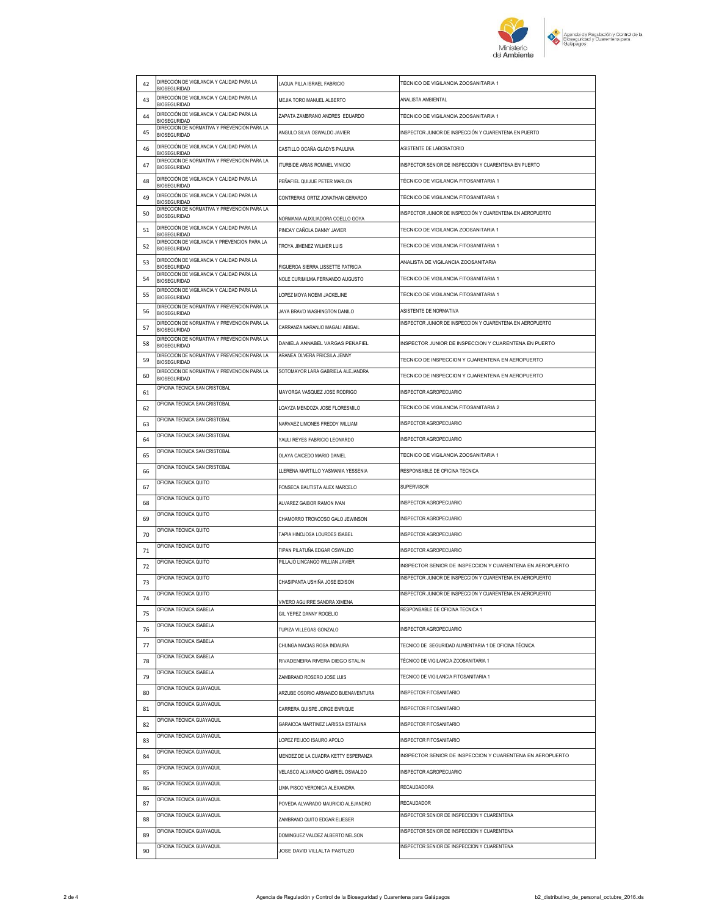

| 42 | DIRECCIÓN DE VIGILANCIA Y CALIDAD PARA LA<br><b>RIOSEGURIDAD</b>    | LAGUA PILLA ISRAEL FABRICIO         | TÉCNICO DE VIGILANCIA ZOOSANITARIA 1                                                       |
|----|---------------------------------------------------------------------|-------------------------------------|--------------------------------------------------------------------------------------------|
| 43 | DIRECCIÓN DE VIGILANCIA Y CALIDAD PARA LA<br><b>BIOSEGURIDAD</b>    | MEJIA TORO MANUEL ALBERTO           | ANALISTA AMBIENTAL                                                                         |
| 44 | DIRECCIÓN DE VIGILANCIA Y CALIDAD PARA LA<br><b>BIOSEGURIDAD</b>    | ZAPATA ZAMBRANO ANDRES EDUARDO      | TÉCNICO DE VIGILANCIA ZOOSANITARIA 1                                                       |
| 45 | DIRECCION DE NORMATIVA Y PREVENCION PARA LA<br><b>BIOSEGURIDAD</b>  | ANGULO SILVA OSWALDO JAVIER         | INSPECTOR JUNIOR DE INSPECCIÓN Y CUARENTENA EN PUERTO                                      |
| 46 | DIRECCIÓN DE VIGILANCIA Y CALIDAD PARA LA<br><b>BIOSEGURIDAD</b>    | CASTILLO OCAÑA GLADYS PAULINA       | ASISTENTE DE LABORATORIO                                                                   |
| 47 | DIRECCION DE NORMATIVA Y PREVENCION PARA LA<br><b>BIOSEGURIDAD</b>  | ITURBIDE ARIAS ROMMEL VINICIO       | INSPECTOR SENIOR DE INSPECCIÓN Y CUARENTENA EN PUERTO                                      |
| 48 | DIRECCIÓN DE VIGILANCIA Y CALIDAD PARA LA<br><b>BIOSEGURIDAD</b>    | PEÑAFIEL QUIJIJE PETER MARLON       | TÉCNICO DE VIGILANCIA FITOSANITARIA 1                                                      |
| 49 | DIRECCIÓN DE VIGILANCIA Y CALIDAD PARA LA<br><b>BIOSEGURIDAD</b>    | CONTRERAS ORTIZ JONATHAN GERARDO    | TÉCNICO DE VIGILANCIA FITOSANITARIA 1                                                      |
| 50 | DIRECCION DE NORMATIVA Y PREVENCION PARA LA<br><b>BIOSEGURIDAD</b>  | NORMANIA AUXILIADORA COELLO GOYA    | INSPECTOR JUNIOR DE INSPECCIÓN Y CUARENTENA EN AEROPUERTO                                  |
| 51 | DIRECCIÓN DE VIGILANCIA Y CALIDAD PARA LA<br><b>BIOSEGURIDAD</b>    | PINCAY CAÑOLA DANNY JAVIER          | TECNICO DE VIGILANCIA ZOOSANITARIA 1                                                       |
| 52 | DIRECCION DE VIGILANCIA Y PREVENCION PARA LA<br><b>BIOSEGURIDAD</b> | TROYA JIMENEZ WILMER LUIS           | TECNICO DE VIGILANCIA FITOSANITARIA 1                                                      |
| 53 | DIRECCIÓN DE VIGILANCIA Y CALIDAD PARA LA<br><b>BIOSEGURIDAD</b>    | FIGUEROA SIERRA LISSETTE PATRICIA   | ANALISTA DE VIGILANCIA ZOOSANITARIA                                                        |
| 54 | DIRECCION DE VIGILANCIA Y CALIDAD PARA LA<br><b>BIOSEGURIDAD</b>    | NOLE CURIMILMA FERNANDO AUGUSTO     | TECNICO DE VIGILANCIA FITOSANITARIA 1                                                      |
| 55 | DIRECCION DE VIGILANCIA Y CALIDAD PARA LA<br><b>RIOSEGURIDAD</b>    | LOPEZ MOYA NOEMI JACKELINE          | TÉCNICO DE VIGILANCIA FITOSANITARIA 1                                                      |
| 56 | DIRECCION DE NORMATIVA Y PREVENCION PARA LA<br><b>BIOSEGURIDAD</b>  | JAYA BRAVO WASHINGTON DANILO        | ASISTENTE DE NORMATIVA                                                                     |
| 57 | DIRECCION DE NORMATIVA Y PREVENCION PARA LA<br><b>BIOSEGURIDAD</b>  | CARRANZA NARANJO MAGALI ABIGAIL     | INSPECTOR JUNIOR DE INSPECCION Y CUARENTENA EN AEROPUERTO                                  |
| 58 | DIRECCION DE NORMATIVA Y PREVENCION PARA LA<br><b>BIOSEGURIDAD</b>  | DANIELA ANNABEL VARGAS PEÑAFIEL     | INSPECTOR JUNIOR DE INSPECCION Y CUARENTENA EN PUERTO                                      |
| 59 | DIRECCION DE NORMATIVA Y PREVENCION PARA LA<br><b>BIOSEGURIDAD</b>  | ARANEA OLVERA PRICSILA JENNY        | TECNICO DE INSPECCION Y CUARENTENA EN AEROPUERTO                                           |
| 60 | DIRECCION DE NORMATIVA Y PREVENCION PARA LA<br><b>BIOSEGURIDAD</b>  | SOTOMAYOR LARA GABRIELA ALEJANDRA   | TECNICO DE INSPECCION Y CUARENTENA EN AEROPUERTO                                           |
| 61 | OFICINA TECNICA SAN CRISTOBAL                                       | MAYORGA VASQUEZ JOSE RODRIGO        | INSPECTOR AGROPECUARIO                                                                     |
| 62 | OFICINA TECNICA SAN CRISTOBAL                                       | LOAYZA MENDOZA JOSE FLORESMILO      | TECNICO DE VIGILANCIA FITOSANITARIA 2                                                      |
| 63 | OFICINA TECNICA SAN CRISTOBAL                                       | NARVAEZ LIMONES FREDDY WILLIAM      | INSPECTOR AGROPECUARIO                                                                     |
| 64 | OFICINA TECNICA SAN CRISTOBAL                                       | YAULI REYES FABRICIO LEONARDO       | INSPECTOR AGROPECUARIO                                                                     |
| 65 | OFICINA TECNICA SAN CRISTOBAL                                       | OLAYA CAICEDO MARIO DANIEL          | TECNICO DE VIGILANCIA ZOOSANITARIA 1                                                       |
|    | OFICINA TECNICA SAN CRISTOBAL                                       |                                     |                                                                                            |
| 66 |                                                                     | LLERENA MARTILLO YASMANIA YESSENIA  | RESPONSABLE DE OFICINA TECNICA                                                             |
| 67 | OFICINA TECNICA QUITO                                               | FONSECA BAUTISTA ALEX MARCELO       | SUPERVISOR                                                                                 |
| 68 | OFICINA TECNICA QUITO                                               | ALVAREZ GAIBOR RAMON IVAN           | INSPECTOR AGROPECUARIO                                                                     |
| 69 | OFICINA TECNICA QUITO                                               | CHAMORRO TRONCOSO GALO JEWINSON     | INSPECTOR AGROPECUARIO                                                                     |
| 70 | OFICINA TECNICA QUITO                                               | TAPIA HINOJOSA LOURDES ISABEL       | INSPECTOR AGROPECUARIO                                                                     |
| 71 | OFICINA TECNICA QUITO                                               | TIPAN PILATUÑA EDGAR OSWALDO        | INSPECTOR AGROPECUARIO                                                                     |
| 72 | OFICINA TECNICA QUITO                                               | PILLAJO LINCANGO WILLIAN JAVIER     | INSPECTOR SENIOR DE INSPECCION Y CUARENTENA EN AEROPUERTO                                  |
| 73 | OFICINA TECNICA QUITO                                               | CHASIPANTA USHIÑA JOSE EDISON       | INSPECTOR JUNIOR DE INSPECCION Y CUARENTENA EN AEROPUERTO                                  |
| 74 | OFICINA TECNICA QUITO                                               | VIVERO AGUIRRE SANDRA XIMENA        | INSPECTOR JUNIOR DE INSPECCION Y CUARENTENA EN AEROPUERTO                                  |
| 75 | OFICINA TECNICA ISABELA                                             | GIL YEPEZ DANNY ROGELIO             | RESPONSABLE DE OFICINA TECNICA 1                                                           |
| 76 | OFICINA TECNICA ISABELA                                             | TUPIZA VILLEGAS GONZALO             | INSPECTOR AGROPECUARIO                                                                     |
| 77 | OFICINA TECNICA ISABELA                                             | CHUNGA MACIAS ROSA INDAURA          | TECNICO DE SEGURIDAD ALIMENTARIA 1 DE OFICINA TÉCNICA                                      |
| 78 | OFICINA TECNICA ISABELA                                             | RIVADENEIRA RIVERA DIEGO STALIN     | TÉCNICO DE VIGILANCIA ZOOSANITARIA 1                                                       |
| 79 | OFICINA TECNICA ISABELA                                             | ZAMBRANO ROSERO JOSE LUIS           | TECNICO DE VIGILANCIA FITOSANITARIA 1                                                      |
| 80 | OFICINA TECNICA GUAYAQUIL                                           | ARZUBE OSORIO ARMANDO BUENAVENTURA  | INSPECTOR FITOSANITARIO                                                                    |
| 81 | OFICINA TECNICA GUAYAQUIL                                           | CARRERA QUISPE JORGE ENRIQUE        | INSPECTOR FITOSANITARIO                                                                    |
| 82 | OFICINA TECNICA GUAYAQUIL                                           | GARAICOA MARTINEZ LARISSA ESTALINA  | INSPECTOR FITOSANITARIO                                                                    |
| 83 | OFICINA TECNICA GUAYAQUIL                                           | LOPEZ FEIJOO ISAURO APOLO           | INSPECTOR FITOSANITARIO                                                                    |
| 84 | OFICINA TECNICA GUAYAQUIL                                           | MENDEZ DE LA CUADRA KETTY ESPERANZA | INSPECTOR SENIOR DE INSPECCION Y CUARENTENA EN AEROPUERTO                                  |
| 85 | OFICINA TECNICA GUAYAQUIL                                           | VELASCO ALVARADO GABRIEL OSWALDO    | INSPECTOR AGROPECUARIO                                                                     |
| 86 | OFICINA TECNICA GUAYAQUIL                                           | LIMA PISCO VERONICA ALEXANDRA       | RECAUDADORA                                                                                |
| 87 | OFICINA TECNICA GUAYAQUIL                                           | POVEDA ALVARADO MAURICIO ALEJANDRO  | <b>RECAUDADOR</b>                                                                          |
| 88 | OFICINA TECNICA GUAYAQUIL                                           | ZAMBRANO QUITO EDGAR ELIESER        | INSPECTOR SENIOR DE INSPECCION Y CUARENTENA                                                |
| 89 | OFICINA TECNICA GUAYAQUIL<br>OFICINA TECNICA GUAYAQUIL              | DOMINGUEZ VALDEZ ALBERTO NELSON     | INSPECTOR SENIOR DE INSPECCION Y CUARENTENA<br>INSPECTOR SENIOR DE INSPECCION Y CUARENTENA |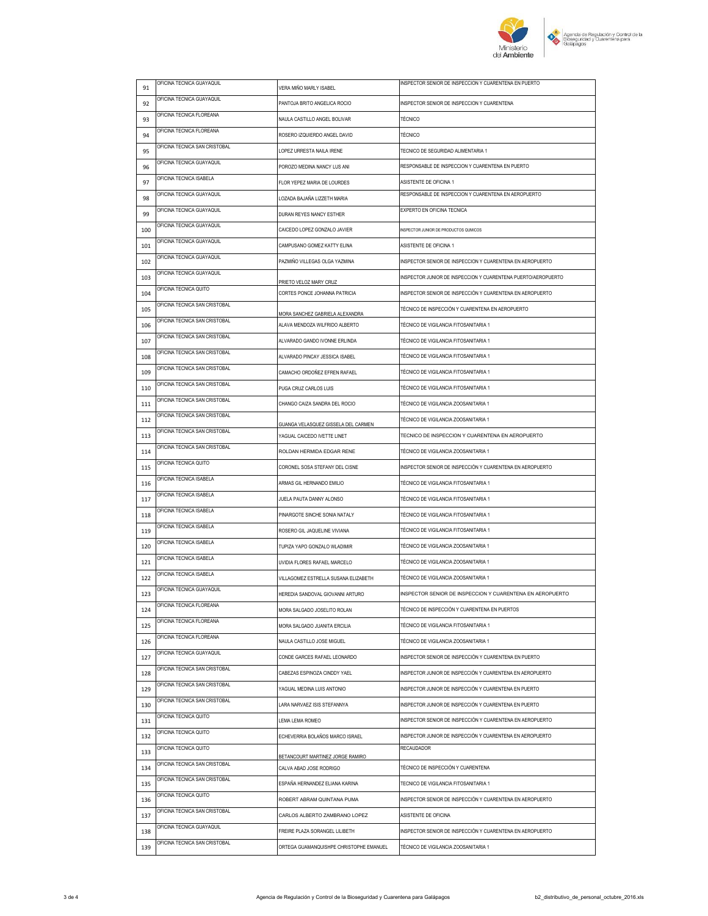

| 91  | OFICINA TECNICA GUAYAQUIL     | VERA MIÑO MARLY ISABEL                                               | INSPECTOR SENIOR DE INSPECCION Y CUARENTENA EN PUERTO                   |
|-----|-------------------------------|----------------------------------------------------------------------|-------------------------------------------------------------------------|
| 92  | OFICINA TECNICA GUAYAQUIL     | PANTOJA BRITO ANGELICA ROCIO                                         | INSPECTOR SENIOR DE INSPECCION Y CUARENTENA                             |
| 93  | OFICINA TECNICA FLOREANA      | NAULA CASTILLO ANGEL BOLIVAR                                         | <b>TÉCNICO</b>                                                          |
| 94  | OFICINA TECNICA FLOREANA      | ROSERO IZQUIERDO ANGEL DAVID                                         | <b>TÉCNICO</b>                                                          |
| 95  | OFICINA TECNICA SAN CRISTOBAL | LOPEZ URRESTA NAILA IRENE                                            | TECNICO DE SEGURIDAD ALIMENTARIA 1                                      |
| 96  | OFICINA TECNICA GUAYAQUIL     | POROZO MEDINA NANCY LUS ANI                                          | RESPONSABLE DE INSPECCION Y CUARENTENA EN PUERTO                        |
| 97  | OFICINA TECNICA ISABELA       | FLOR YEPEZ MARIA DE LOURDES                                          | ASISTENTE DE OFICINA 1                                                  |
| 98  | OFICINA TECNICA GUAYAQUIL     | LOZADA BAJAÑA LIZZETH MARIA                                          | RESPONSABLE DE INSPECCION Y CUARENTENA EN AEROPUERTO                    |
| 99  | OFICINA TECNICA GUAYAQUIL     | DURAN REYES NANCY ESTHER                                             | EXPERTO EN OFICINA TECNICA                                              |
| 100 | OFICINA TECNICA GUAYAQUIL     | CAICEDO LOPEZ GONZALO JAVIER                                         | INSPECTOR JUNIOR DE PRODUCTOS QUMICOS                                   |
| 101 | OFICINA TECNICA GUAYAQUIL     | CAMPUSANO GOMEZ KATTY ELINA                                          | ASISTENTE DE OFICINA 1                                                  |
| 102 | OFICINA TECNICA GUAYAQUIL     | PAZMIÑO VILLEGAS OLGA YAZMINA                                        | INSPECTOR SENIOR DE INSPECCION Y CUARENTENA EN AEROPUERTO               |
| 103 | OFICINA TECNICA GUAYAQUIL     |                                                                      | INSPECTOR JUNIOR DE INSPECCION Y CUARENTENA PUERTO/AEROPUERTO           |
| 104 | OFICINA TECNICA QUITO         | PRIETO VELOZ MARY CRUZ<br>CORTES PONCE JOHANNA PATRICIA              | INSPECTOR SENIOR DE INSPECCIÓN Y CUARENTENA EN AEROPUERTO               |
| 105 | OFICINA TECNICA SAN CRISTOBAL |                                                                      | TÉCNICO DE INSPECCIÓN Y CUARENTENA EN AEROPUERTO                        |
| 106 | OFICINA TECNICA SAN CRISTOBAL | MORA SANCHEZ GABRIELA ALEXANDRA<br>ALAVA MENDOZA WILFRIDO ALBERTO    | TÉCNICO DE VIGILANCIA FITOSANITARIA 1                                   |
| 107 | OFICINA TECNICA SAN CRISTOBAL | ALVARADO GANDO IVONNE ERLINDA                                        | TÉCNICO DE VIGILANCIA FITOSANITARIA 1                                   |
| 108 | OFICINA TECNICA SAN CRISTOBAL | ALVARADO PINCAY JESSICA ISABEL                                       | TÉCNICO DE VIGILANCIA FITOSANITARIA 1                                   |
| 109 | OFICINA TECNICA SAN CRISTOBAL | CAMACHO ORDOÑEZ EFREN RAFAEL                                         | TÉCNICO DE VIGILANCIA FITOSANITARIA 1                                   |
| 110 | OFICINA TECNICA SAN CRISTOBAL | PUGA CRUZ CARLOS LUIS                                                | TÉCNICO DE VIGILANCIA FITOSANITARIA 1                                   |
| 111 | OFICINA TECNICA SAN CRISTOBAL | CHANGO CAIZA SANDRA DEL ROCIO                                        | TÉCNICO DE VIGILANCIA ZOOSANITARIA 1                                    |
| 112 | OFICINA TECNICA SAN CRISTOBAL |                                                                      | TÉCNICO DE VIGILANCIA ZOOSANITARIA 1                                    |
| 113 | OFICINA TECNICA SAN CRISTOBAL | GUANGA VELASQUEZ GISSELA DEL CARMEN<br>YAGUAL CAICEDO IVETTE LINET   | TECNICO DE INSPECCION Y CUARENTENA EN AEROPUERTO                        |
| 114 | OFICINA TECNICA SAN CRISTOBAL | ROLDAN HERMIDA EDGAR RENE                                            | TÉCNICO DE VIGILANCIA ZOOSANITARIA 1                                    |
| 115 | OFICINA TECNICA QUITO         | CORONEL SOSA STEFANY DEL CISNE                                       | INSPECTOR SENIOR DE INSPECCIÓN Y CUARENTENA EN AEROPUERTO               |
| 116 | OFICINA TECNICA ISABELA       | ARMAS GIL HERNANDO EMILIO                                            | TÉCNICO DE VIGILANCIA FITOSANITARIA 1                                   |
| 117 | OFICINA TECNICA ISABELA       | JUELA PAUTA DANNY ALONSO                                             | TÉCNICO DE VIGILANCIA FITOSANITARIA 1                                   |
| 118 | OFICINA TECNICA ISABELA       | PINARGOTE SINCHE SONIA NATALY                                        | TÉCNICO DE VIGILANCIA FITOSANITARIA 1                                   |
| 119 | OFICINA TECNICA ISABELA       |                                                                      | TÉCNICO DE VIGILANCIA FITOSANITARIA 1                                   |
|     | OFICINA TECNICA ISABELA       | ROSERO GIL JAQUELINE VIVIANA                                         | TÉCNICO DE VIGILANCIA ZOOSANITARIA 1                                    |
| 120 | OFICINA TECNICA ISABELA       | TUPIZA YAPO GONZALO WLADIMIR                                         | TÉCNICO DE VIGILANCIA ZOOSANITARIA 1                                    |
| 121 | OFICINA TECNICA ISABELA       | UVIDIA FLORES RAFAEL MARCELO<br>VILLAGOMEZ ESTRELLA SUSANA ELIZABETH | TÉCNICO DE VIGILANCIA ZOOSANITARIA 1                                    |
| 122 | OFICINA TECNICA GUAYAQUIL     |                                                                      |                                                                         |
| 123 | OFICINA TECNICA FLOREANA      | HEREDIA SANDOVAL GIOVANNI ARTURO                                     | INSPECTOR SENIOR DE INSPECCION Y CUARENTENA EN AEROPUERTO               |
| 124 | OFICINA TECNICA FLOREANA      | MORA SALGADO JOSELITO ROLAN                                          | TÉCNICO DE INSPECCIÓN Y CUARENTENA EN PUERTOS                           |
| 125 | OFICINA TECNICA FLOREANA      | MORA SALGADO JUANITA ERCILIA                                         | TÉCNICO DE VIGILANCIA FITOSANITARIA 1                                   |
| 126 | OFICINA TECNICA GUAYAQUIL     | NAULA CASTILLO JOSE MIGUEL                                           | TÉCNICO DE VIGILANCIA ZOOSANITARIA 1                                    |
| 127 | OFICINA TECNICA SAN CRISTOBAL | CONDE GARCES RAFAEL LEONARDO                                         | INSPECTOR SENIOR DE INSPECCIÓN Y CUARENTENA EN PUERTO                   |
| 128 | OFICINA TECNICA SAN CRISTOBAL | CABEZAS ESPINOZA CINDDY YAEL                                         | INSPECTOR JUNIOR DE INSPECCIÓN Y CUARENTENA EN AEROPUERTO               |
| 129 | OFICINA TECNICA SAN CRISTOBAL | YAGUAL MEDINA LUIS ANTONIO                                           | INSPECTOR JUNIOR DE INSPECCIÓN Y CUARENTENA EN PUERTO                   |
| 130 | OFICINA TECNICA QUITO         | LARA NARVAEZ ISIS STEFANNYA                                          | INSPECTOR JUNIOR DE INSPECCIÓN Y CUARENTENA EN PUERTO                   |
| 131 | OFICINA TECNICA QUITO         | LEMA LEMA ROMEO                                                      | INSPECTOR SENIOR DE INSPECCIÓN Y CUARENTENA EN AEROPUERTO               |
| 132 | OFICINA TECNICA QUITO         | ECHEVERRIA BOLAÑOS MARCO ISRAEL                                      | INSPECTOR JUNIOR DE INSPECCIÓN Y CUARENTENA EN AEROPUERTO<br>RECAUDADOR |
| 133 | OFICINA TECNICA SAN CRISTOBAL | BETANCOURT MARTINEZ JORGE RAMIRO                                     |                                                                         |
| 134 | OFICINA TECNICA SAN CRISTOBAL | CALVA ABAD JOSE RODRIGO                                              | TÉCNICO DE INSPECCIÓN Y CUARENTENA                                      |
| 135 | OFICINA TECNICA QUITO         | ESPAÑA HERNANDEZ ELIANA KARINA                                       | TECNICO DE VIGILANCIA FITOSANITARIA 1                                   |
| 136 | OFICINA TECNICA SAN CRISTOBAL | ROBERT ABRAM QUINTANA PUMA                                           | INSPECTOR SENIOR DE INSPECCIÓN Y CUARENTENA EN AEROPUERTO               |
| 137 |                               | CARLOS ALBERTO ZAMBRANO LOPEZ                                        | ASISTENTE DE OFICINA                                                    |
| 138 | OFICINA TECNICA GUAYAQUIL     | FREIRE PLAZA SORANGEL LILIBETH                                       | INSPECTOR SENIOR DE INSPECCIÓN Y CUARENTENA EN AEROPUERTO               |
| 139 | OFICINA TECNICA SAN CRISTOBAL | ORTEGA GUAMANQUISHPE CHRISTOPHE EMANUEL                              | TÉCNICO DE VIGILANCIA ZOOSANITARIA 1                                    |